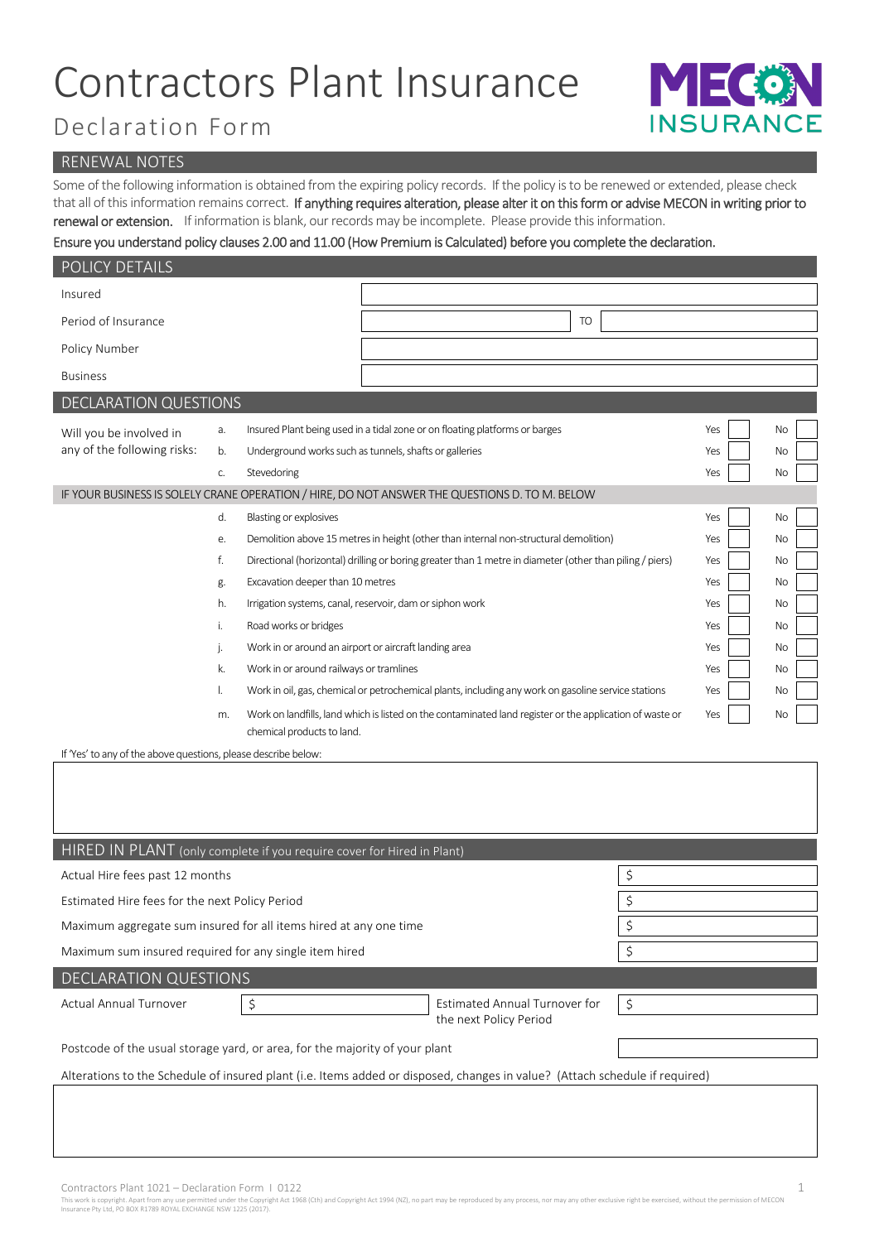# Contractors Plant Insurance



## Declaration Form

#### RENEWAL NOTES

Some of the following information is obtained from the expiring policy records. If the policy is to be renewed or extended, please check that all of this information remains correct. If anything requires alteration, please alter it on this form or advise MECON in writing prior to renewal or extension. If information is blank, our records may be incomplete. Please provide this information.

### Ensure you understand policy clauses 2.00 and 11.00 (How Premium is Calculated) before you complete the declaration.

| POLICY DETAILS               |    |                                                                                                                                                                                                                |                                                                                                          |     |           |
|------------------------------|----|----------------------------------------------------------------------------------------------------------------------------------------------------------------------------------------------------------------|----------------------------------------------------------------------------------------------------------|-----|-----------|
| Insured                      |    |                                                                                                                                                                                                                |                                                                                                          |     |           |
| Period of Insurance          |    |                                                                                                                                                                                                                | <b>TO</b>                                                                                                |     |           |
| Policy Number                |    |                                                                                                                                                                                                                |                                                                                                          |     |           |
| <b>Business</b>              |    |                                                                                                                                                                                                                |                                                                                                          |     |           |
| <b>DECLARATION QUESTIONS</b> |    |                                                                                                                                                                                                                |                                                                                                          |     |           |
| Will you be involved in      | a. |                                                                                                                                                                                                                | Insured Plant being used in a tidal zone or on floating platforms or barges                              | Yes | No        |
| any of the following risks:  | b. | Underground works such as tunnels, shafts or galleries                                                                                                                                                         |                                                                                                          | Yes | <b>No</b> |
|                              | C. | Stevedoring                                                                                                                                                                                                    |                                                                                                          | Yes | No        |
|                              |    |                                                                                                                                                                                                                | IF YOUR BUSINESS IS SOLELY CRANE OPERATION / HIRE, DO NOT ANSWER THE QUESTIONS D. TO M. BELOW            |     |           |
|                              | d. | Blasting or explosives<br>Yes                                                                                                                                                                                  |                                                                                                          |     | <b>No</b> |
|                              | e. | Demolition above 15 metres in height (other than internal non-structural demolition)<br>Yes<br>Directional (horizontal) drilling or boring greater than 1 metre in diameter (other than piling / piers)<br>Yes |                                                                                                          |     | <b>No</b> |
|                              | f. |                                                                                                                                                                                                                |                                                                                                          |     | <b>No</b> |
|                              | g. | Excavation deeper than 10 metres<br>Yes                                                                                                                                                                        |                                                                                                          |     | <b>No</b> |
|                              | h. | Irrigation systems, canal, reservoir, dam or siphon work<br>Yes                                                                                                                                                |                                                                                                          |     | <b>No</b> |
|                              | i. | Road works or bridges<br>Yes                                                                                                                                                                                   |                                                                                                          |     | No        |
|                              | j. | Work in or around an airport or aircraft landing area                                                                                                                                                          |                                                                                                          | Yes | No        |
|                              | k. | Work in or around railways or tramlines                                                                                                                                                                        |                                                                                                          | Yes | <b>No</b> |
|                              | I. |                                                                                                                                                                                                                | Work in oil, gas, chemical or petrochemical plants, including any work on gasoline service stations      | Yes | No        |
|                              | m. | chemical products to land.                                                                                                                                                                                     | Work on landfills, land which is listed on the contaminated land register or the application of waste or | Yes | No        |

If 'Yes' to any of the above questions, please describe below:

| HIRED IN PLANT (only complete if you require cover for Hired in Plant)                                                      |                                                         |         |  |  |  |
|-----------------------------------------------------------------------------------------------------------------------------|---------------------------------------------------------|---------|--|--|--|
| Actual Hire fees past 12 months                                                                                             | \$                                                      |         |  |  |  |
| Estimated Hire fees for the next Policy Period                                                                              | \$                                                      |         |  |  |  |
| Maximum aggregate sum insured for all items hired at any one time                                                           | \$                                                      |         |  |  |  |
| Maximum sum insured required for any single item hired                                                                      | \$                                                      |         |  |  |  |
| <b>DECLARATION QUESTIONS</b>                                                                                                |                                                         |         |  |  |  |
| Actual Annual Turnover<br>$\zeta$                                                                                           | Estimated Annual Turnover for<br>the next Policy Period | $\zeta$ |  |  |  |
|                                                                                                                             |                                                         |         |  |  |  |
| Postcode of the usual storage yard, or area, for the majority of your plant                                                 |                                                         |         |  |  |  |
| Alterations to the Schedule of insured plant (i.e. Items added or disposed, changes in value? (Attach schedule if required) |                                                         |         |  |  |  |
|                                                                                                                             |                                                         |         |  |  |  |
|                                                                                                                             |                                                         |         |  |  |  |